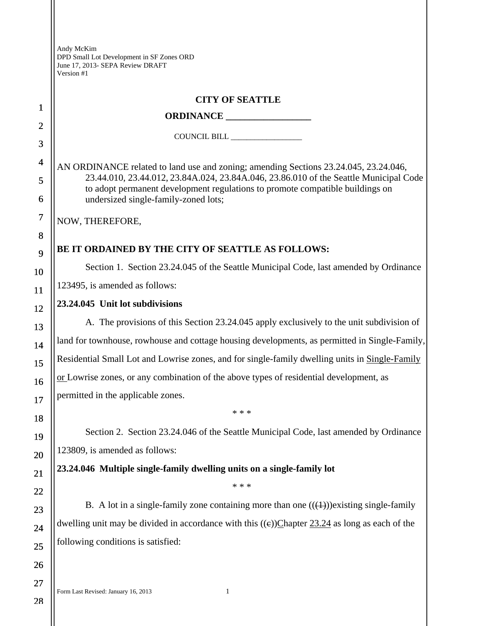|                | <b>CITY OF SEATTLE</b>                                                                                                |  |  |
|----------------|-----------------------------------------------------------------------------------------------------------------------|--|--|
| $\mathbf{1}$   |                                                                                                                       |  |  |
| $\overline{2}$ | COUNCIL BILL _________________                                                                                        |  |  |
| 3              |                                                                                                                       |  |  |
| 4              | AN ORDINANCE related to land use and zoning; amending Sections 23.24.045, 23.24.046,                                  |  |  |
| 5              | 23.44.010, 23.44.012, 23.84A.024, 23.84A.046, 23.86.010 of the Seattle Municipal Code                                 |  |  |
| 6              | to adopt permanent development regulations to promote compatible buildings on<br>undersized single-family-zoned lots; |  |  |
| 7              | NOW, THEREFORE,                                                                                                       |  |  |
| 8              |                                                                                                                       |  |  |
| 9              | BE IT ORDAINED BY THE CITY OF SEATTLE AS FOLLOWS:                                                                     |  |  |
| 10             | Section 1. Section 23.24.045 of the Seattle Municipal Code, last amended by Ordinance                                 |  |  |
| <b>11</b>      | 123495, is amended as follows:                                                                                        |  |  |
| 12             | 23.24.045 Unit lot subdivisions                                                                                       |  |  |
| 13             | A. The provisions of this Section 23.24.045 apply exclusively to the unit subdivision of                              |  |  |
| 14             | land for townhouse, rowhouse and cottage housing developments, as permitted in Single-Family,                         |  |  |
| 15             | Residential Small Lot and Lowrise zones, and for single-family dwelling units in Single-Family                        |  |  |
| 16             | or Lowrise zones, or any combination of the above types of residential development, as                                |  |  |
| 17             | permitted in the applicable zones.                                                                                    |  |  |
| 18             | * * *                                                                                                                 |  |  |
| 19             | Section 2. Section 23.24.046 of the Seattle Municipal Code, last amended by Ordinance                                 |  |  |
| 20             | 123809, is amended as follows:                                                                                        |  |  |
| 21             | 23.24.046 Multiple single-family dwelling units on a single-family lot                                                |  |  |
| 22             | * * *                                                                                                                 |  |  |
| 23             | B. A lot in a single-family zone containing more than one $((\text{+}))$ existing single-family                       |  |  |
| 24             | dwelling unit may be divided in accordance with this $((e))$ Chapter 23.24 as long as each of the                     |  |  |
| 25             | following conditions is satisfied:                                                                                    |  |  |
| 26             |                                                                                                                       |  |  |

28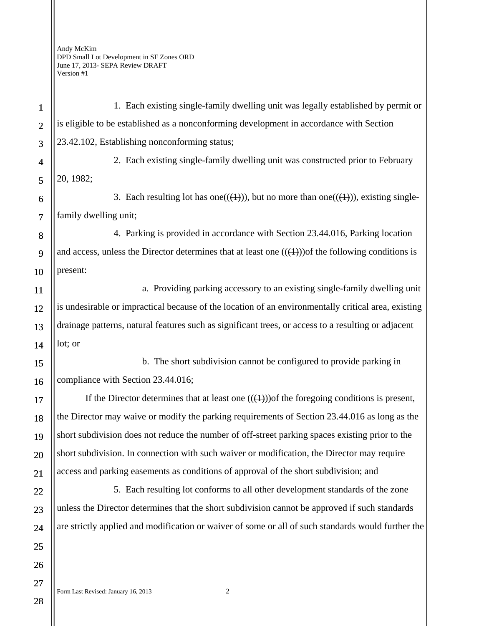Form Last Revised: January 16, 2013 2 1 2 3 4 5 6 7 8 9 10 11 12 13 14 15 16 17 18 19 20 21 22 23 24 25 26 27 1. Each existing single-family dwelling unit was legally established by permit or is eligible to be established as a nonconforming development in accordance with Section 23.42.102, Establishing nonconforming status; 2. Each existing single-family dwelling unit was constructed prior to February 20, 1982; 3. Each resulting lot has one( $(\langle 1 \rangle)$ ), but no more than one( $(\langle 1 \rangle)$ ), existing singlefamily dwelling unit; 4. Parking is provided in accordance with Section 23.44.016, Parking location and access, unless the Director determines that at least one  $((+))$  of the following conditions is present: a. Providing parking accessory to an existing single-family dwelling unit is undesirable or impractical because of the location of an environmentally critical area, existing drainage patterns, natural features such as significant trees, or access to a resulting or adjacent lot; or b. The short subdivision cannot be configured to provide parking in compliance with Section 23.44.016; If the Director determines that at least one  $((+))$  of the foregoing conditions is present, the Director may waive or modify the parking requirements of Section 23.44.016 as long as the short subdivision does not reduce the number of off-street parking spaces existing prior to the short subdivision. In connection with such waiver or modification, the Director may require access and parking easements as conditions of approval of the short subdivision; and 5. Each resulting lot conforms to all other development standards of the zone unless the Director determines that the short subdivision cannot be approved if such standards are strictly applied and modification or waiver of some or all of such standards would further the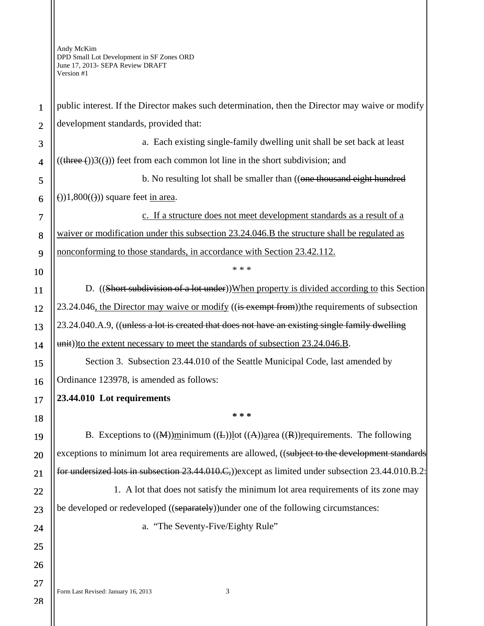| $\mathbf{1}$             | public interest. If the Director makes such determination, then the Director may waive or modify                |
|--------------------------|-----------------------------------------------------------------------------------------------------------------|
| $\overline{2}$           | development standards, provided that:                                                                           |
| 3                        | a. Each existing single-family dwelling unit shall be set back at least                                         |
| $\overline{\mathcal{A}}$ | $((\text{three-}))3((\text{))})$ feet from each common lot line in the short subdivision; and                   |
| 5                        | b. No resulting lot shall be smaller than ((one thousand eight hundred                                          |
| 6                        | $(1,800(1))$ square feet in area.                                                                               |
| $\tau$                   | c. If a structure does not meet development standards as a result of a                                          |
| 8                        | waiver or modification under this subsection 23.24.046.B the structure shall be regulated as                    |
| 9                        | nonconforming to those standards, in accordance with Section 23.42.112.                                         |
| 10                       | * * *                                                                                                           |
| 11                       | D. ((Short subdivision of a lot under))When property is divided according to this Section                       |
| 12                       | 23.24.046, the Director may waive or modify ((is exempt from)) the requirements of subsection                   |
| 13                       | 23.24.040.A.9, ((unless a lot is created that does not have an existing single family dwelling                  |
| 14                       | unit)) to the extent necessary to meet the standards of subsection 23.24.046.B.                                 |
| 15                       | Section 3. Subsection 23.44.010 of the Seattle Municipal Code, last amended by                                  |
| 16                       | Ordinance 123978, is amended as follows:                                                                        |
| 17                       | 23.44.010 Lot requirements                                                                                      |
| 18                       | * * *                                                                                                           |
| 19                       | B. Exceptions to $((M))$ minimum $((L))$ lot $((A))$ area $((R))$ requirements. The following                   |
| 20                       | exceptions to minimum lot area requirements are allowed, ((subject to the development standards                 |
| 21                       | for undersized lots in subsection 23.44.010.C <sub>7</sub> )) except as limited under subsection 23.44.010.B.2: |
| 22                       | 1. A lot that does not satisfy the minimum lot area requirements of its zone may                                |
| 23                       | be developed or redeveloped ((separately)) under one of the following circumstances:                            |
| 24                       | a. "The Seventy-Five/Eighty Rule"                                                                               |
| 25                       |                                                                                                                 |
| 26                       |                                                                                                                 |
| 27                       | Form Last Revised: January 16, 2013<br>3                                                                        |
|                          |                                                                                                                 |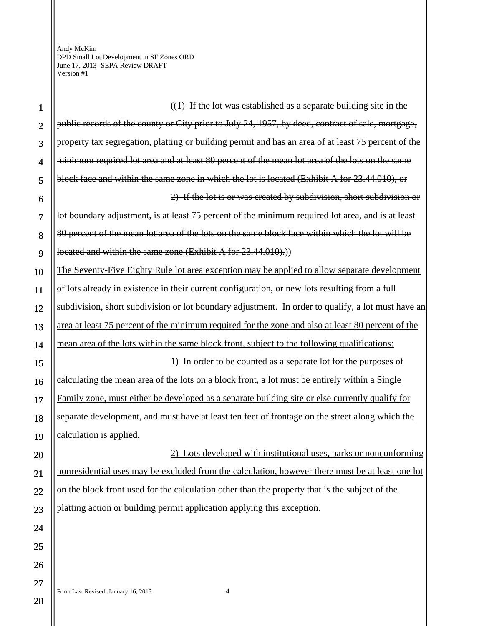$\mathsf{I}$ 

| 1              | $((1)$ If the lot was established as a separate building site in the                                |
|----------------|-----------------------------------------------------------------------------------------------------|
| $\overline{2}$ | public records of the county or City prior to July 24, 1957, by deed, contract of sale, mortgage,   |
| 3              | property tax segregation, platting or building permit and has an area of at least 75 percent of the |
| $\overline{4}$ | minimum required lot area and at least 80 percent of the mean lot area of the lots on the same      |
| 5              | block face and within the same zone in which the lot is located (Exhibit A for 23.44.010), or       |
| 6              | 2) If the lot is or was created by subdivision, short subdivision or                                |
| $\overline{7}$ | lot boundary adjustment, is at least 75 percent of the minimum required lot area, and is at least   |
| 8              | 80 percent of the mean lot area of the lots on the same block face within which the lot will be     |
| 9              | located and within the same zone (Exhibit A for 23.44.010).)                                        |
| 10             | The Seventy-Five Eighty Rule lot area exception may be applied to allow separate development        |
| 11             | of lots already in existence in their current configuration, or new lots resulting from a full      |
| 12             | subdivision, short subdivision or lot boundary adjustment. In order to qualify, a lot must have an  |
| 13             | area at least 75 percent of the minimum required for the zone and also at least 80 percent of the   |
| 14             | mean area of the lots within the same block front, subject to the following qualifications:         |
|                |                                                                                                     |
| 15             | 1) In order to be counted as a separate lot for the purposes of                                     |
| 16             | calculating the mean area of the lots on a block front, a lot must be entirely within a Single      |
| 17             | Family zone, must either be developed as a separate building site or else currently qualify for     |
| 18             | separate development, and must have at least ten feet of frontage on the street along which the     |
| 19             | calculation is applied.                                                                             |
| 20             | 2) Lots developed with institutional uses, parks or nonconforming                                   |
| 21             | nonresidential uses may be excluded from the calculation, however there must be at least one lot    |
| 22             | on the block front used for the calculation other than the property that is the subject of the      |
| 23             | platting action or building permit application applying this exception.                             |
| 24             |                                                                                                     |
| 25             |                                                                                                     |
| 26             |                                                                                                     |
| 27             | Form Last Revised: January 16, 2013<br>4                                                            |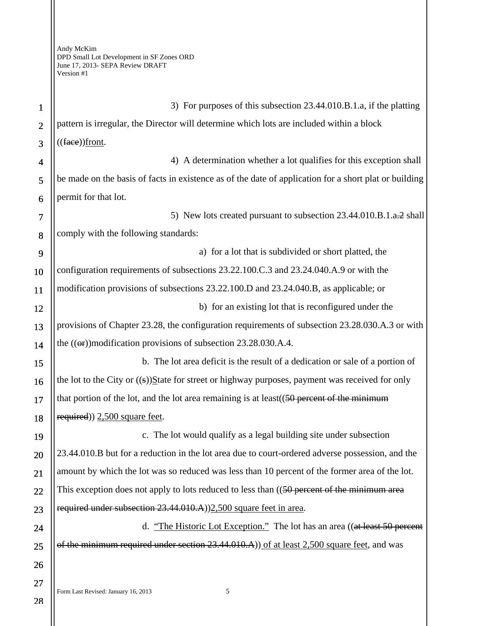1 2 3 4 5 6 7 8 9 10 11 12 13 14 15 16 17 18 19 20 21 22 23 24 25 26 27 3) For purposes of this subsection 23.44.010.B.1.a, if the platting pattern is irregular, the Director will determine which lots are included within a block  $((\text{face})$ front. 4) A determination whether a lot qualifies for this exception shall be made on the basis of facts in existence as of the date of application for a short plat or building permit for that lot. 5) New lots created pursuant to subsection 23.44.010.B.1.a.2 shall comply with the following standards: a) for a lot that is subdivided or short platted, the configuration requirements of subsections 23.22.100.C.3 and 23.24.040.A.9 or with the modification provisions of subsections 23.22.100.D and 23.24.040.B, as applicable; or b) for an existing lot that is reconfigured under the provisions of Chapter 23.28, the configuration requirements of subsection 23.28.030.A.3 or with the  $((\text{or})$ )modification provisions of subsection 23.28.030.A.4. b. The lot area deficit is the result of a dedication or sale of a portion of the lot to the City or  $((s))$ State for street or highway purposes, payment was received for only that portion of the lot, and the lot area remaining is at least( $(50$  percent of the minimum required)) 2,500 square feet. c. The lot would qualify as a legal building site under subsection 23.44.010.B but for a reduction in the lot area due to court-ordered adverse possession, and the amount by which the lot was so reduced was less than 10 percent of the former area of the lot. This exception does not apply to lots reduced to less than ((50 percent of the minimum area required under subsection 23.44.010.A))2,500 square feet in area. d. "The Historic Lot Exception." The lot has an area ((at least 50 percent of the minimum required under section 23.44.010.A) of at least 2,500 square feet, and was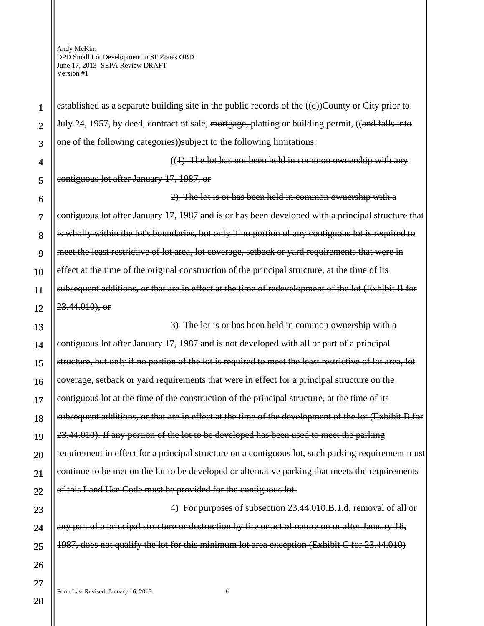1

2

3

4

5

6

7

8

9

10

11

12

13

14

15

16

17

18

19

20

21

22

23

24

25

26

27

established as a separate building site in the public records of the  $((e))$ County or City prior to July 24, 1957, by deed, contract of sale, mortgage, platting or building permit, ((and falls into one of the following categories))subject to the following limitations:

 $((1)$  The lot has not been held in common ownership with any contiguous lot after January 17, 1987, or

2) The lot is or has been held in common ownership with a contiguous lot after January 17, 1987 and is or has been developed with a principal structure that is wholly within the lot's boundaries, but only if no portion of any contiguous lot is required to meet the least restrictive of lot area, lot coverage, setback or yard requirements that were in effect at the time of the original construction of the principal structure, at the time of its subsequent additions, or that are in effect at the time of redevelopment of the lot (Exhibit B for 23.44.010), or

3) The lot is or has been held in common ownership with a contiguous lot after January 17, 1987 and is not developed with all or part of a principal structure, but only if no portion of the lot is required to meet the least restrictive of lot area, lot coverage, setback or yard requirements that were in effect for a principal structure on the contiguous lot at the time of the construction of the principal structure, at the time of its subsequent additions, or that are in effect at the time of the development of the lot (Exhibit B for 23.44.010). If any portion of the lot to be developed has been used to meet the parking requirement in effect for a principal structure on a contiguous lot, such parking requirement must continue to be met on the lot to be developed or alternative parking that meets the requirements of this Land Use Code must be provided for the contiguous lot.

4) For purposes of subsection 23.44.010.B.1.d, removal of all or any part of a principal structure or destruction by fire or act of nature on or after January 18, 1987, does not qualify the lot for this minimum lot area exception (Exhibit C for 23.44.010)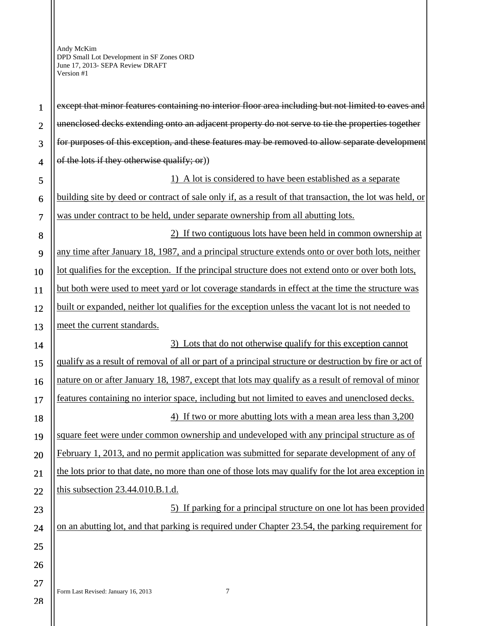| $\mathbf{1}$   | except that minor features containing no interior floor area including but not limited to eaves and      |
|----------------|----------------------------------------------------------------------------------------------------------|
| $\overline{2}$ | unenclosed decks extending onto an adjacent property do not serve to tie the properties together         |
| 3              | for purposes of this exception, and these features may be removed to allow separate development          |
| $\overline{4}$ | of the lots if they otherwise qualify; or))                                                              |
| 5              | A lot is considered to have been established as a separate                                               |
| 6              | building site by deed or contract of sale only if, as a result of that transaction, the lot was held, or |
| $\overline{7}$ | was under contract to be held, under separate ownership from all abutting lots.                          |
| 8              | 2) If two contiguous lots have been held in common ownership at                                          |
| 9              | any time after January 18, 1987, and a principal structure extends onto or over both lots, neither       |
| 10             | lot qualifies for the exception. If the principal structure does not extend onto or over both lots,      |
| 11             | but both were used to meet yard or lot coverage standards in effect at the time the structure was        |
| 12             | built or expanded, neither lot qualifies for the exception unless the vacant lot is not needed to        |
| 13             | meet the current standards.                                                                              |
| 14             | 3) Lots that do not otherwise qualify for this exception cannot                                          |
| 15             | qualify as a result of removal of all or part of a principal structure or destruction by fire or act of  |
| 16             | nature on or after January 18, 1987, except that lots may qualify as a result of removal of minor        |
| 17             | features containing no interior space, including but not limited to eaves and unenclosed decks.          |
| 18             | 4) If two or more abutting lots with a mean area less than 3,200                                         |
| 19             | square feet were under common ownership and undeveloped with any principal structure as of               |
| 20             | February 1, 2013, and no permit application was submitted for separate development of any of             |
| 21             | the lots prior to that date, no more than one of those lots may qualify for the lot area exception in    |
| 22             | this subsection 23.44.010.B.1.d.                                                                         |
| 23             | 5) If parking for a principal structure on one lot has been provided                                     |
| 24             | on an abutting lot, and that parking is required under Chapter 23.54, the parking requirement for        |
| 25             |                                                                                                          |
| 26             |                                                                                                          |
| 27             |                                                                                                          |
| 28             | $\boldsymbol{7}$<br>Form Last Revised: January 16, 2013                                                  |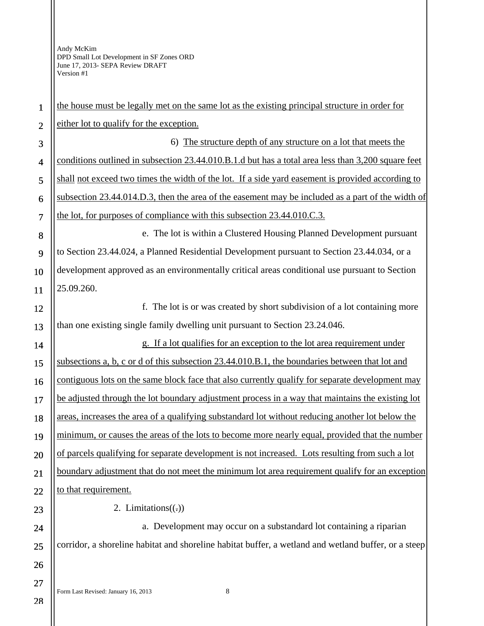| $\mathbf{1}$   | the house must be legally met on the same lot as the existing principal structure in order for       |  |
|----------------|------------------------------------------------------------------------------------------------------|--|
| $\overline{2}$ | either lot to qualify for the exception.                                                             |  |
| 3              | 6) The structure depth of any structure on a lot that meets the                                      |  |
| $\overline{4}$ | conditions outlined in subsection 23.44.010.B.1.d but has a total area less than 3,200 square feet   |  |
| 5              | shall not exceed two times the width of the lot. If a side yard easement is provided according to    |  |
| 6              | subsection 23.44.014.D.3, then the area of the easement may be included as a part of the width of    |  |
| $\overline{7}$ | the lot, for purposes of compliance with this subsection 23.44.010.C.3.                              |  |
| 8              | e. The lot is within a Clustered Housing Planned Development pursuant                                |  |
| 9              | to Section 23.44.024, a Planned Residential Development pursuant to Section 23.44.034, or a          |  |
| 10             | development approved as an environmentally critical areas conditional use pursuant to Section        |  |
| 11             | 25.09.260.                                                                                           |  |
| 12             | f. The lot is or was created by short subdivision of a lot containing more                           |  |
| 13             | than one existing single family dwelling unit pursuant to Section 23.24.046.                         |  |
| 14             | g. If a lot qualifies for an exception to the lot area requirement under                             |  |
| 15             | subsections a, b, c or d of this subsection 23.44.010.B.1, the boundaries between that lot and       |  |
| 16             | contiguous lots on the same block face that also currently qualify for separate development may      |  |
| 17             | be adjusted through the lot boundary adjustment process in a way that maintains the existing lot     |  |
| 18             | areas, increases the area of a qualifying substandard lot without reducing another lot below the     |  |
| 19             | minimum, or causes the areas of the lots to become more nearly equal, provided that the number       |  |
| 20             | of parcels qualifying for separate development is not increased. Lots resulting from such a lot      |  |
| 21             | boundary adjustment that do not meet the minimum lot area requirement qualify for an exception       |  |
| 22             | to that requirement.                                                                                 |  |
| 23             | 2. Limitations $((.)$                                                                                |  |
| 24             | a. Development may occur on a substandard lot containing a riparian                                  |  |
| 25             | corridor, a shoreline habitat and shoreline habitat buffer, a wetland and wetland buffer, or a steep |  |
| 26             |                                                                                                      |  |
| 27             |                                                                                                      |  |
| 28             | 8<br>Form Last Revised: January 16, 2013                                                             |  |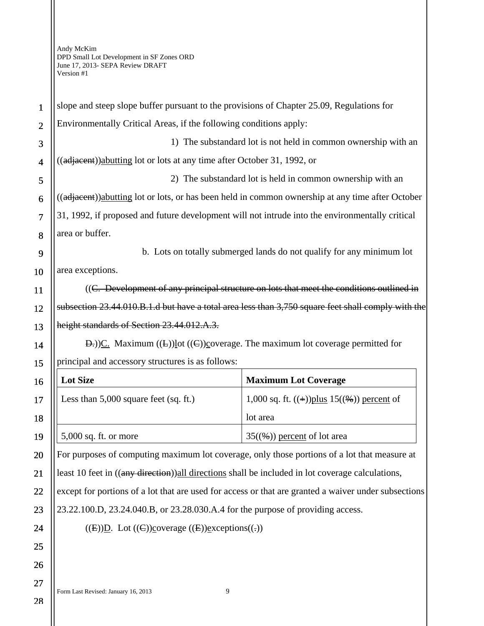| $\mathbf{1}$   | slope and steep slope buffer pursuant to the provisions of Chapter 25.09, Regulations for            |                                                                       |  |
|----------------|------------------------------------------------------------------------------------------------------|-----------------------------------------------------------------------|--|
| $\overline{2}$ | Environmentally Critical Areas, if the following conditions apply:                                   |                                                                       |  |
| 3              | 1) The substandard lot is not held in common ownership with an                                       |                                                                       |  |
| $\overline{4}$ | ((adjacent))abutting lot or lots at any time after October 31, 1992, or                              |                                                                       |  |
| 5              | 2) The substandard lot is held in common ownership with an                                           |                                                                       |  |
| 6              | ((adjacent))abutting lot or lots, or has been held in common ownership at any time after October     |                                                                       |  |
| $\overline{7}$ | 31, 1992, if proposed and future development will not intrude into the environmentally critical      |                                                                       |  |
| 8              | area or buffer.                                                                                      |                                                                       |  |
| 9              |                                                                                                      | b. Lots on totally submerged lands do not qualify for any minimum lot |  |
| 10             | area exceptions.                                                                                     |                                                                       |  |
| 11             | ((C. Development of any principal structure on lots that meet the conditions outlined in             |                                                                       |  |
| 12             | subsection 23.44.010.B.1.d but have a total area less than 3,750 square feet shall comply with the   |                                                                       |  |
| 13             | height standards of Section 23.44.012.A.3.                                                           |                                                                       |  |
| 14             | $E(E)$ . Maximum ((E))lot ((E))coverage. The maximum lot coverage permitted for                      |                                                                       |  |
|                |                                                                                                      |                                                                       |  |
| 15             | principal and accessory structures is as follows:                                                    |                                                                       |  |
| 16             | <b>Lot Size</b>                                                                                      | <b>Maximum Lot Coverage</b>                                           |  |
| 17             | Less than $5,000$ square feet (sq. ft.)                                                              | 1,000 sq. ft. $((+))$ plus 15 $((\%)$ ) percent of                    |  |
| 18             |                                                                                                      | lot area                                                              |  |
| 19             | 5,000 sq. ft. or more                                                                                | $35(\frac{6}{9})$ percent of lot area                                 |  |
| 20             | For purposes of computing maximum lot coverage, only those portions of a lot that measure at         |                                                                       |  |
| 21             | least 10 feet in ((any direction)) all directions shall be included in lot coverage calculations,    |                                                                       |  |
| 22             | except for portions of a lot that are used for access or that are granted a waiver under subsections |                                                                       |  |
| 23             | 23.22.100.D, 23.24.040.B, or 23.28.030.A.4 for the purpose of providing access.                      |                                                                       |  |
| 24             | $((E))D.$ Lot $((C))$ coverage $((E))$ exceptions $((.)$                                             |                                                                       |  |
| 25             |                                                                                                      |                                                                       |  |
| 26             |                                                                                                      |                                                                       |  |
| 27             | $\boldsymbol{9}$<br>Form Last Revised: January 16, 2013                                              |                                                                       |  |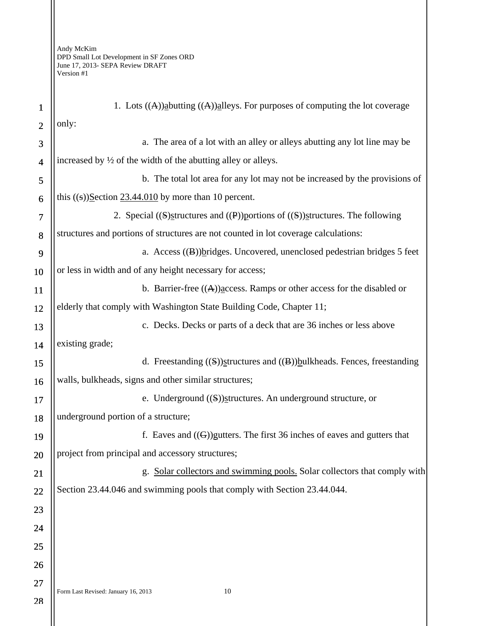| $\mathbf{1}$   | 1. Lots $((A))$ abutting $((A))$ alleys. For purposes of computing the lot coverage |  |  |
|----------------|-------------------------------------------------------------------------------------|--|--|
| $\overline{2}$ | only:                                                                               |  |  |
| 3              | a. The area of a lot with an alley or alleys abutting any lot line may be           |  |  |
| $\overline{4}$ | increased by $\frac{1}{2}$ of the width of the abutting alley or alleys.            |  |  |
| 5              | b. The total lot area for any lot may not be increased by the provisions of         |  |  |
| 6              | this $((s))$ Section 23.44.010 by more than 10 percent.                             |  |  |
| $\overline{7}$ | 2. Special ((S) structures and ((P)) portions of ((S)) structures. The following    |  |  |
| 8              | structures and portions of structures are not counted in lot coverage calculations: |  |  |
| 9              | a. Access $((\mathbf{B}))$ bridges. Uncovered, unenclosed pedestrian bridges 5 feet |  |  |
| 10             | or less in width and of any height necessary for access;                            |  |  |
| 11             | b. Barrier-free $((A))$ access. Ramps or other access for the disabled or           |  |  |
| 12             | elderly that comply with Washington State Building Code, Chapter 11;                |  |  |
| 13             | c. Decks. Decks or parts of a deck that are 36 inches or less above                 |  |  |
| 14             | existing grade;                                                                     |  |  |
| 15             | d. Freestanding $((S))$ structures and $((B))$ bulkheads. Fences, freestanding      |  |  |
| 16             | walls, bulkheads, signs and other similar structures;                               |  |  |
| 17             | e. Underground $(\mathbf{S})$ structures. An underground structure, or              |  |  |
| 18             | underground portion of a structure;                                                 |  |  |
| 19             | f. Eaves and $((G))$ gutters. The first 36 inches of eaves and gutters that         |  |  |
| 20             | project from principal and accessory structures;                                    |  |  |
| 21             | g. Solar collectors and swimming pools. Solar collectors that comply with           |  |  |
| 22             | Section 23.44.046 and swimming pools that comply with Section 23.44.044.            |  |  |
| 23             |                                                                                     |  |  |
| 24             |                                                                                     |  |  |
| 25             |                                                                                     |  |  |
| 26             |                                                                                     |  |  |
| 27             | 10<br>Form Last Revised: January 16, 2013                                           |  |  |
| 28             |                                                                                     |  |  |
|                |                                                                                     |  |  |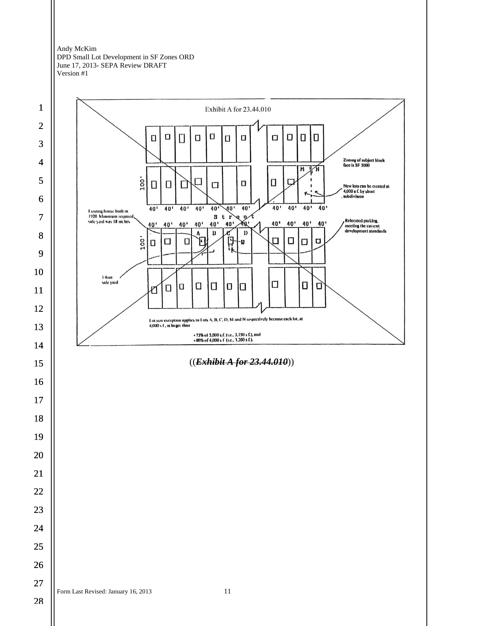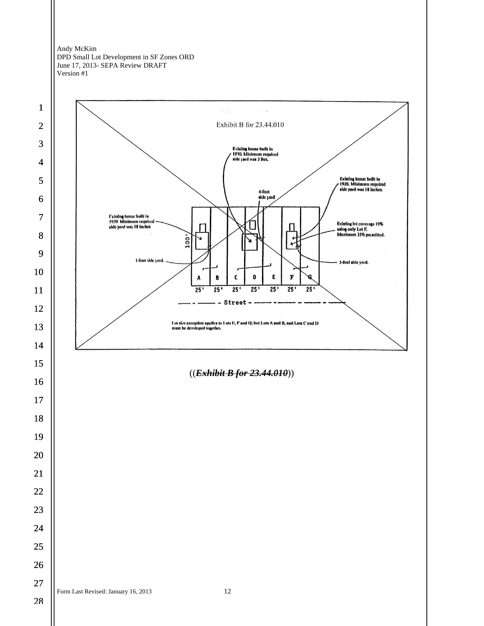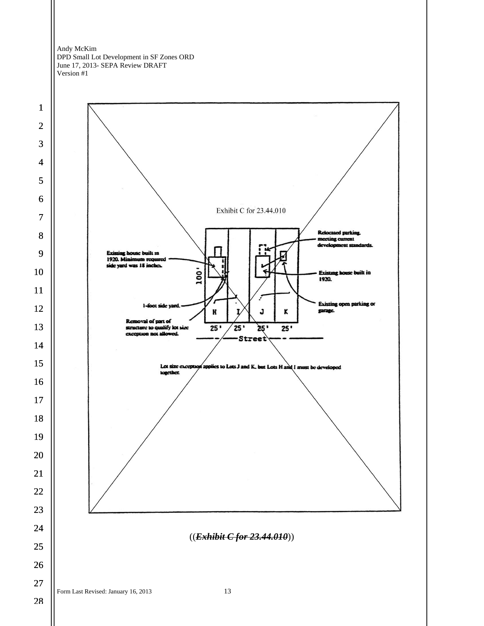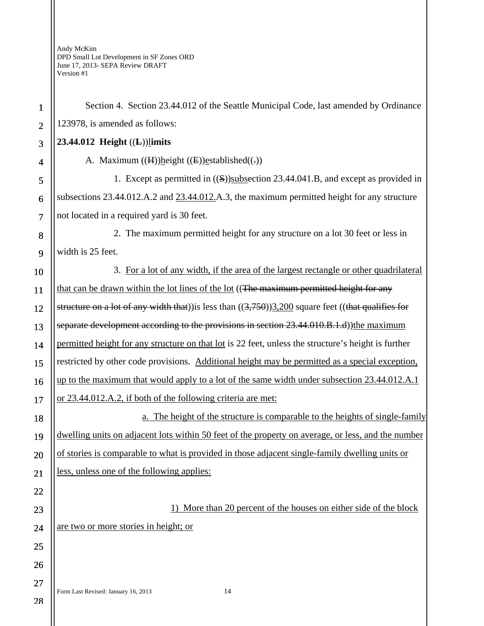| $\mathbf{1}$   | Section 4. Section 23.44.012 of the Seattle Municipal Code, last amended by Ordinance                 |  |  |
|----------------|-------------------------------------------------------------------------------------------------------|--|--|
| $\overline{2}$ | 123978, is amended as follows:                                                                        |  |  |
| 3              | 23.44.012 Height $((L))$ limits                                                                       |  |  |
| 4              | A. Maximum $((H))$ height $((E))$ established $((.)$                                                  |  |  |
| 5              | 1. Except as permitted in $((S))$ subsection 23.44.041.B, and except as provided in                   |  |  |
| 6              | subsections 23.44.012.A.2 and 23.44.012.A.3, the maximum permitted height for any structure           |  |  |
| 7              | not located in a required yard is 30 feet.                                                            |  |  |
| 8              | 2. The maximum permitted height for any structure on a lot 30 feet or less in                         |  |  |
| 9              | width is 25 feet.                                                                                     |  |  |
| 10             | 3. For a lot of any width, if the area of the largest rectangle or other quadrilateral                |  |  |
| 11             | that can be drawn within the lot lines of the lot ((The maximum permitted height for any              |  |  |
| 12             | structure on a lot of any width that)) is less than $((3,750))3,200$ square feet ((that qualifies for |  |  |
| 13             | separate development according to the provisions in section 23.44.010.B.1.d)) the maximum             |  |  |
| 14             | permitted height for any structure on that lot is 22 feet, unless the structure's height is further   |  |  |
| 15             | restricted by other code provisions. Additional height may be permitted as a special exception,       |  |  |
| 16             | up to the maximum that would apply to a lot of the same width under subsection 23.44.012.A.1          |  |  |
| 17             | or 23.44.012.A.2, if both of the following criteria are met:                                          |  |  |
| 18             | a. The height of the structure is comparable to the heights of single-family                          |  |  |
| 19             | dwelling units on adjacent lots within 50 feet of the property on average, or less, and the number    |  |  |
| 20             | of stories is comparable to what is provided in those adjacent single-family dwelling units or        |  |  |
| 21             | less, unless one of the following applies:                                                            |  |  |
| 22             |                                                                                                       |  |  |
| 23             | 1) More than 20 percent of the houses on either side of the block                                     |  |  |
| 24             | are two or more stories in height; or                                                                 |  |  |
| 25             |                                                                                                       |  |  |
| 26             |                                                                                                       |  |  |
| 27             | 14<br>Form Last Revised: January 16, 2013                                                             |  |  |
| 28             |                                                                                                       |  |  |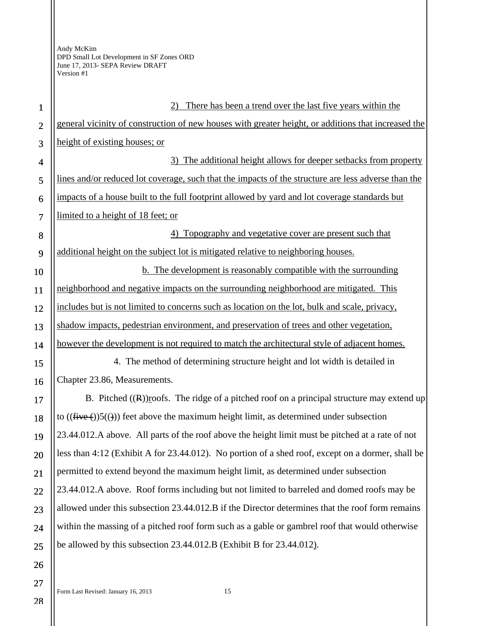| $\mathbf{1}$            | There has been a trend over the last five years within the                                          |  |
|-------------------------|-----------------------------------------------------------------------------------------------------|--|
| $\overline{2}$          | general vicinity of construction of new houses with greater height, or additions that increased the |  |
| 3                       | height of existing houses; or                                                                       |  |
| $\overline{\mathbf{4}}$ | The additional height allows for deeper setbacks from property<br>3)                                |  |
| 5                       | lines and/or reduced lot coverage, such that the impacts of the structure are less adverse than the |  |
| 6                       | impacts of a house built to the full footprint allowed by yard and lot coverage standards but       |  |
| $\overline{7}$          | limited to a height of 18 feet; or                                                                  |  |
| 8                       | Topography and vegetative cover are present such that<br>4)                                         |  |
| 9                       | additional height on the subject lot is mitigated relative to neighboring houses.                   |  |
| 10                      | b. The development is reasonably compatible with the surrounding                                    |  |
| 11                      | neighborhood and negative impacts on the surrounding neighborhood are mitigated. This               |  |
| 12                      | includes but is not limited to concerns such as location on the lot, bulk and scale, privacy,       |  |
| 13                      | shadow impacts, pedestrian environment, and preservation of trees and other vegetation,             |  |
| 14                      | however the development is not required to match the architectural style of adjacent homes.         |  |
| 15                      | 4. The method of determining structure height and lot width is detailed in                          |  |
| 16                      | Chapter 23.86, Measurements.                                                                        |  |
| 17                      | B. Pitched $((R))$ roofs. The ridge of a pitched roof on a principal structure may extend up        |  |
| 18                      | to $((\text{five}(\cdot))5(())$ feet above the maximum height limit, as determined under subsection |  |
| 19                      | 23.44.012.A above. All parts of the roof above the height limit must be pitched at a rate of not    |  |
| 20                      | less than 4:12 (Exhibit A for 23.44.012). No portion of a shed roof, except on a dormer, shall be   |  |
| 21                      | permitted to extend beyond the maximum height limit, as determined under subsection                 |  |
| 22                      | 23.44.012.A above. Roof forms including but not limited to barreled and domed roofs may be          |  |
| 23                      | allowed under this subsection 23.44.012.B if the Director determines that the roof form remains     |  |
| 24                      | within the massing of a pitched roof form such as a gable or gambrel roof that would otherwise      |  |
| 25                      | be allowed by this subsection 23.44.012.B (Exhibit B for 23.44.012).                                |  |
| 26                      |                                                                                                     |  |
| 27                      |                                                                                                     |  |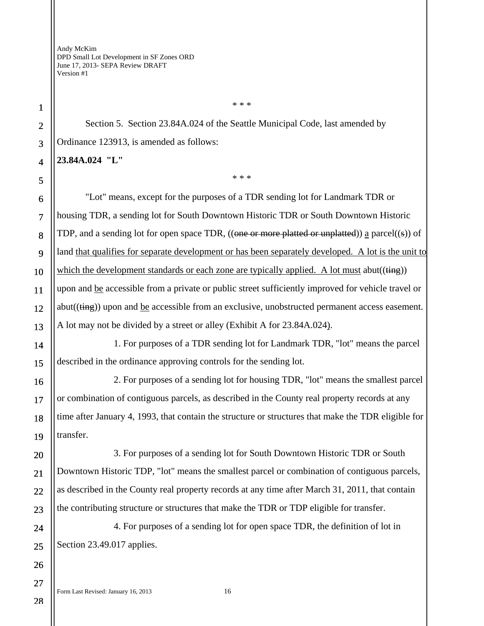Section 5. Section 23.84A.024 of the Seattle Municipal Code, last amended by Ordinance 123913, is amended as follows:

**23.84A.024 "L"** 

\* \* \*

\* \* \*

"Lot" means, except for the purposes of a TDR sending lot for Landmark TDR or housing TDR, a sending lot for South Downtown Historic TDR or South Downtown Historic TDP, and a sending lot for open space TDR, ((one or more platted or unplatted)) a parcel((s)) of land that qualifies for separate development or has been separately developed. A lot is the unit to which the development standards or each zone are typically applied. A lot must abut( $(\frac{time}{})$ ) upon and be accessible from a private or public street sufficiently improved for vehicle travel or abut((ting)) upon and be accessible from an exclusive, unobstructed permanent access easement. A lot may not be divided by a street or alley (Exhibit A for 23.84A.024).

1. For purposes of a TDR sending lot for Landmark TDR, "lot" means the parcel described in the ordinance approving controls for the sending lot.

2. For purposes of a sending lot for housing TDR, "lot" means the smallest parcel or combination of contiguous parcels, as described in the County real property records at any time after January 4, 1993, that contain the structure or structures that make the TDR eligible for transfer.

3. For purposes of a sending lot for South Downtown Historic TDR or South Downtown Historic TDP, "lot" means the smallest parcel or combination of contiguous parcels, as described in the County real property records at any time after March 31, 2011, that contain the contributing structure or structures that make the TDR or TDP eligible for transfer.

4. For purposes of a sending lot for open space TDR, the definition of lot in Section 23.49.017 applies.

Form Last Revised: January 16, 2013 16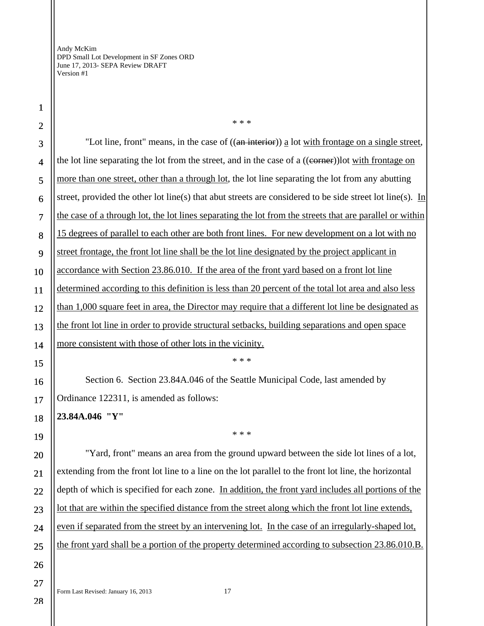"Lot line, front" means, in the case of ((an interior)) a lot with frontage on a single street, the lot line separating the lot from the street, and in the case of a  $((\overline{\text{corner}}))$ lot with frontage on more than one street, other than a through lot, the lot line separating the lot from any abutting street, provided the other lot line(s) that abut streets are considered to be side street lot line(s). In the case of a through lot, the lot lines separating the lot from the streets that are parallel or within 15 degrees of parallel to each other are both front lines. For new development on a lot with no street frontage, the front lot line shall be the lot line designated by the project applicant in accordance with Section 23.86.010. If the area of the front yard based on a front lot line determined according to this definition is less than 20 percent of the total lot area and also less than 1,000 square feet in area, the Director may require that a different lot line be designated as the front lot line in order to provide structural setbacks, building separations and open space more consistent with those of other lots in the vicinity. \* \* \* Section 6. Section 23.84A.046 of the Seattle Municipal Code, last amended by Ordinance 122311, is amended as follows: **23.84A.046 "Y"**  \* \* \* "Yard, front" means an area from the ground upward between the side lot lines of a lot, extending from the front lot line to a line on the lot parallel to the front lot line, the horizontal depth of which is specified for each zone. In addition, the front yard includes all portions of the lot that are within the specified distance from the street along which the front lot line extends, even if separated from the street by an intervening lot. In the case of an irregularly-shaped lot, the front yard shall be a portion of the property determined according to subsection 23.86.010.B.

\* \* \*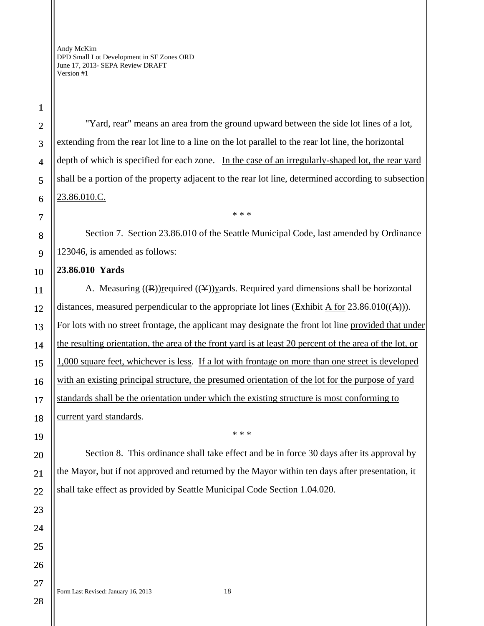1 2

3

4

5

6

7

8

9

10

11

12

13

14

15

16

17

18

"Yard, rear" means an area from the ground upward between the side lot lines of a lot, extending from the rear lot line to a line on the lot parallel to the rear lot line, the horizontal depth of which is specified for each zone. In the case of an irregularly-shaped lot, the rear yard shall be a portion of the property adjacent to the rear lot line, determined according to subsection 23.86.010.C.

Section 7. Section 23.86.010 of the Seattle Municipal Code, last amended by Ordinance 123046, is amended as follows:

\* \* \*

## **23.86.010 Yards**

A. Measuring  $((R))$ required  $((Y))$  yards. Required yard dimensions shall be horizontal distances, measured perpendicular to the appropriate lot lines (Exhibit A for  $23.86.010(\text{(A)})$ ). For lots with no street frontage, the applicant may designate the front lot line provided that under the resulting orientation, the area of the front yard is at least 20 percent of the area of the lot, or 1,000 square feet, whichever is less. If a lot with frontage on more than one street is developed with an existing principal structure, the presumed orientation of the lot for the purpose of yard standards shall be the orientation under which the existing structure is most conforming to current yard standards.

19

20

21

22

23

24

25

26

27

28

\* \* \*

Section 8. This ordinance shall take effect and be in force 30 days after its approval by the Mayor, but if not approved and returned by the Mayor within ten days after presentation, it shall take effect as provided by Seattle Municipal Code Section 1.04.020.